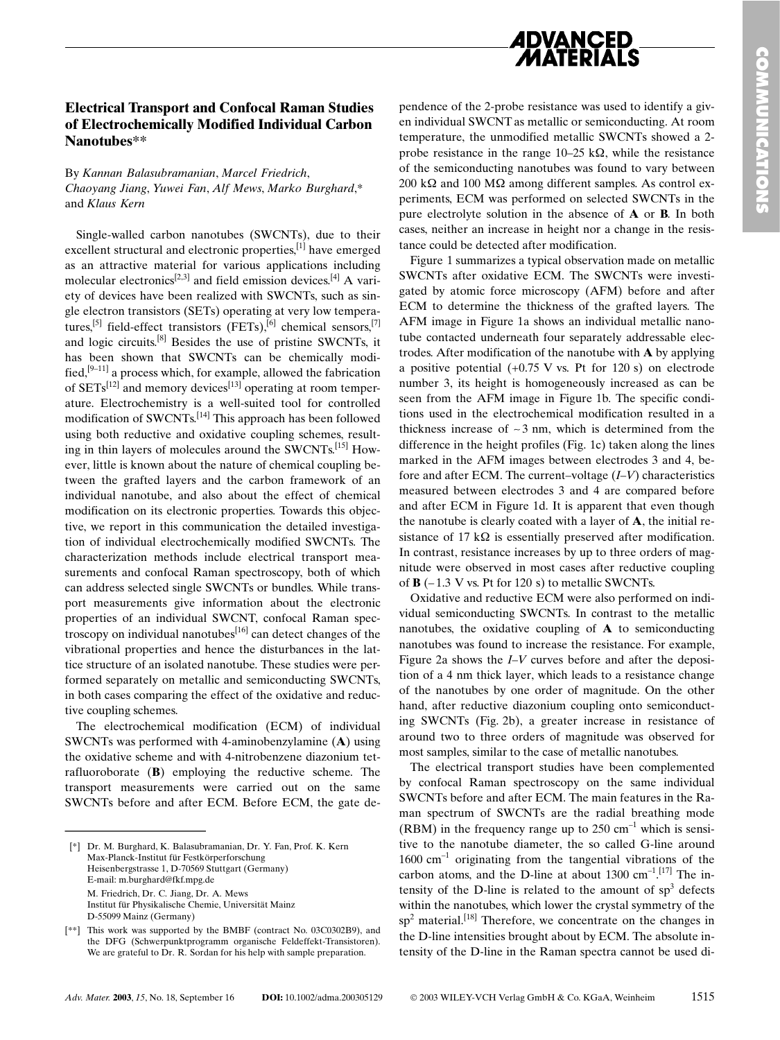

## **Electrical Transport and Confocal Raman Studies** of Electrochemically Modified Individual Carbon Nanotubes\*\*

By Kannan Balasubramanian, Marcel Friedrich, Chaoyang Jiang, Yuwei Fan, Alf Mews, Marko Burghard,\* and Klaus Kern

Single-walled carbon nanotubes (SWCNTs), due to their excellent structural and electronic properties,<sup>[1]</sup> have emerged as an attractive material for various applications including molecular electronics<sup>[2,3]</sup> and field emission devices.<sup>[4]</sup> A variety of devices have been realized with SWCNTs, such as single electron transistors (SETs) operating at very low temperatures,<sup>[5]</sup> field-effect transistors (FETs),<sup>[6]</sup> chemical sensors,<sup>[7]</sup> and logic circuits.<sup>[8]</sup> Besides the use of pristine SWCNTs, it has been shown that SWCNTs can be chemically modified,  $[9-11]$  a process which, for example, allowed the fabrication of  $SETs^{[12]}$  and memory devices<sup>[13]</sup> operating at room temperature. Electrochemistry is a well-suited tool for controlled modification of SWCNTs.<sup>[14]</sup> This approach has been followed using both reductive and oxidative coupling schemes, resulting in thin layers of molecules around the SWCNTs.<sup>[15]</sup> However, little is known about the nature of chemical coupling between the grafted layers and the carbon framework of an individual nanotube, and also about the effect of chemical modification on its electronic properties. Towards this objective, we report in this communication the detailed investigation of individual electrochemically modified SWCNTs. The characterization methods include electrical transport measurements and confocal Raman spectroscopy, both of which can address selected single SWCNTs or bundles. While transport measurements give information about the electronic properties of an individual SWCNT, confocal Raman spectroscopy on individual nanotubes  $[16]$  can detect changes of the vibrational properties and hence the disturbances in the lattice structure of an isolated nanotube. These studies were performed separately on metallic and semiconducting SWCNTs, in both cases comparing the effect of the oxidative and reductive coupling schemes.

The electrochemical modification (ECM) of individual SWCNTs was performed with 4-aminobenzylamine  $(A)$  using the oxidative scheme and with 4-nitrobenzene diazonium tetrafluoroborate  $(B)$  employing the reductive scheme. The transport measurements were carried out on the same SWCNTs before and after ECM. Before ECM, the gate dependence of the 2-probe resistance was used to identify a given individual SWCNT as metallic or semiconducting. At room temperature, the unmodified metallic SWCNTs showed a 2probe resistance in the range  $10-25 \text{ k}\Omega$ , while the resistance of the semiconducting nanotubes was found to vary between 200 k $\Omega$  and 100 M $\Omega$  among different samples. As control experiments, ECM was performed on selected SWCNTs in the pure electrolyte solution in the absence of **A** or **B**. In both cases, neither an increase in height nor a change in the resistance could be detected after modification.

Figure 1 summarizes a typical observation made on metallic SWCNTs after oxidative ECM. The SWCNTs were investigated by atomic force microscopy (AFM) before and after ECM to determine the thickness of the grafted layers. The AFM image in Figure 1a shows an individual metallic nanotube contacted underneath four separately addressable electrodes. After modification of the nanotube with A by applying a positive potential  $(+0.75 \text{ V} \text{ vs. } \text{Pt} \text{ for } 120 \text{ s})$  on electrode number 3, its height is homogeneously increased as can be seen from the AFM image in Figure 1b. The specific conditions used in the electrochemical modification resulted in a thickness increase of  $\sim$  3 nm, which is determined from the difference in the height profiles (Fig. 1c) taken along the lines marked in the AFM images between electrodes 3 and 4, before and after ECM. The current-voltage  $(I-V)$  characteristics measured between electrodes 3 and 4 are compared before and after ECM in Figure 1d. It is apparent that even though the nanotube is clearly coated with a layer of A, the initial resistance of 17 k $\Omega$  is essentially preserved after modification. In contrast, resistance increases by up to three orders of magnitude were observed in most cases after reductive coupling of  $\bf{B}$  (-1.3 V vs. Pt for 120 s) to metallic SWCNTs.

Oxidative and reductive ECM were also performed on individual semiconducting SWCNTs. In contrast to the metallic nanotubes, the oxidative coupling of  $A$  to semiconducting nanotubes was found to increase the resistance. For example, Figure 2a shows the  $I-V$  curves before and after the deposition of a 4 nm thick layer, which leads to a resistance change of the nanotubes by one order of magnitude. On the other hand, after reductive diazonium coupling onto semiconducting SWCNTs (Fig. 2b), a greater increase in resistance of around two to three orders of magnitude was observed for most samples, similar to the case of metallic nanotubes.

The electrical transport studies have been complemented by confocal Raman spectroscopy on the same individual SWCNTs before and after ECM. The main features in the Raman spectrum of SWCNTs are the radial breathing mode (RBM) in the frequency range up to  $250 \text{ cm}^{-1}$  which is sensitive to the nanotube diameter, the so called G-line around  $1600 \text{ cm}^{-1}$  originating from the tangential vibrations of the carbon atoms, and the D-line at about 1300  $\text{cm}^{-1}$ .[17] The intensity of the D-line is related to the amount of  $sp<sup>3</sup>$  defects within the nanotubes, which lower the crystal symmetry of the  $sp<sup>2</sup>$  material.<sup>[18]</sup> Therefore, we concentrate on the changes in the D-line intensities brought about by ECM. The absolute intensity of the D-line in the Raman spectra cannot be used di-

<sup>[\*]</sup> Dr. M. Burghard, K. Balasubramanian, Dr. Y. Fan, Prof. K. Kern Max-Planck-Institut für Festkörperforschung Heisenbergstrasse 1, D-70569 Stuttgart (Germany) E-mail: m.burghard@fkf.mpg.de M. Friedrich, Dr. C. Jiang, Dr. A. Mews Institut für Physikalische Chemie, Universität Mainz D-55099 Mainz (Germany)

<sup>[\*\*]</sup> This work was supported by the BMBF (contract No. 03C0302B9), and the DFG (Schwerpunktprogramm organische Feldeffekt-Transistoren). We are grateful to Dr. R. Sordan for his help with sample preparation.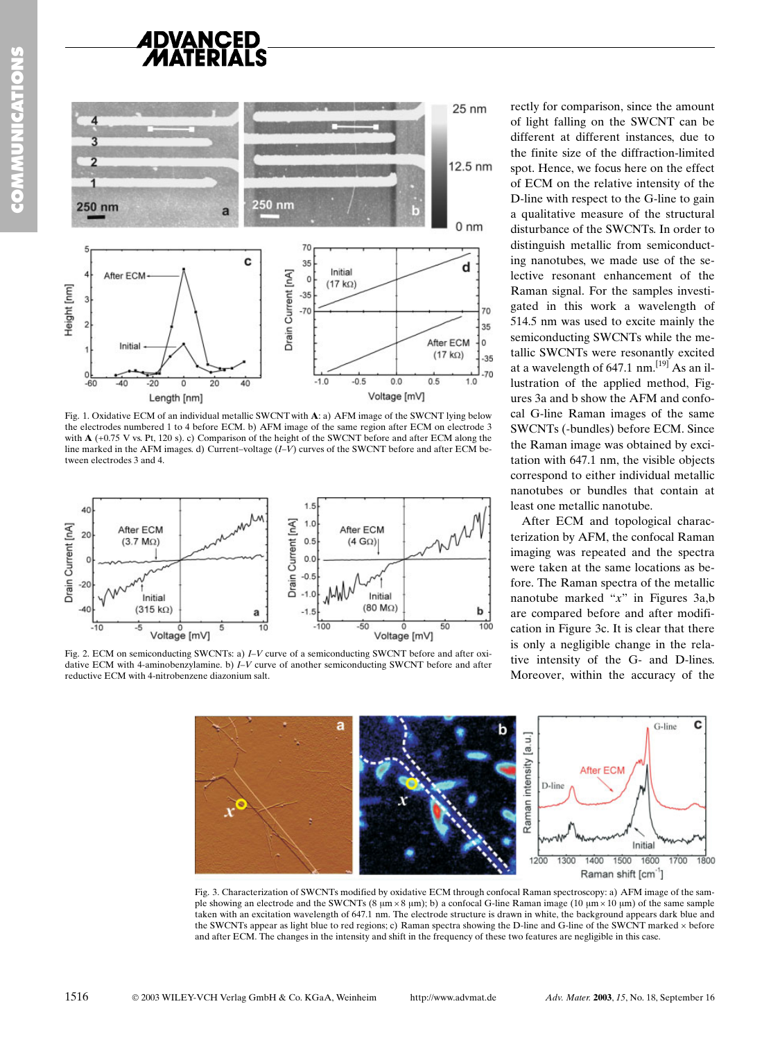

Fig. 1. Oxidative ECM of an individual metallic SWCNT with A: a) AFM image of the SWCNT lying below the electrodes numbered 1 to 4 before ECM. b) AFM image of the same region after ECM on electrode 3 with  $A$  (+0.75 V vs. Pt, 120 s). c) Comparison of the height of the SWCNT before and after ECM along the line marked in the AFM images. d) Current-voltage  $(I-V)$  curves of the SWCNT before and after ECM between electrodes 3 and 4.



Fig. 2. ECM on semiconducting SWCNTs: a) *I-V* curve of a semiconducting SWCNT before and after oxidative ECM with 4-aminobenzylamine. b)  $I-V$  curve of another semiconducting SWCNT before and after reductive ECM with 4-nitrobenzene diazonium salt.

rectly for comparison, since the amount of light falling on the SWCNT can be different at different instances, due to the finite size of the diffraction-limited spot. Hence, we focus here on the effect of ECM on the relative intensity of the D-line with respect to the G-line to gain a qualitative measure of the structural disturbance of the SWCNTs. In order to distinguish metallic from semiconducting nanotubes, we made use of the selective resonant enhancement of the Raman signal. For the samples investigated in this work a wavelength of 514.5 nm was used to excite mainly the semiconducting SWCNTs while the metallic SWCNTs were resonantly excited at a wavelength of 647.1 nm.  $[19]$  As an illustration of the applied method, Figures 3a and b show the AFM and confocal G-line Raman images of the same SWCNTs (-bundles) before ECM. Since the Raman image was obtained by excitation with 647.1 nm, the visible objects correspond to either individual metallic nanotubes or bundles that contain at least one metallic nanotube.

After ECM and topological characterization by AFM, the confocal Raman imaging was repeated and the spectra were taken at the same locations as before. The Raman spectra of the metallic nanotube marked " $x$ " in Figures 3a,b are compared before and after modification in Figure 3c. It is clear that there is only a negligible change in the relative intensity of the G- and D-lines. Moreover, within the accuracy of the



Fig. 3. Characterization of SWCNTs modified by oxidative ECM through confocal Raman spectroscopy: a) AFM image of the sample showing an electrode and the SWCNTs (8  $\mu$ m × 8  $\mu$ m); b) a confocal G-line Raman image (10  $\mu$ m × 10  $\mu$ m) of the same sample taken with an excitation wavelength of 647.1 nm. The electrode structure is drawn in white, the background appears dark blue and the SWCNTs appear as light blue to red regions; c) Raman spectra showing the D-line and G-line of the SWCNT marked x before and after ECM. The changes in the intensity and shift in the frequency of these two features are negligible in this case.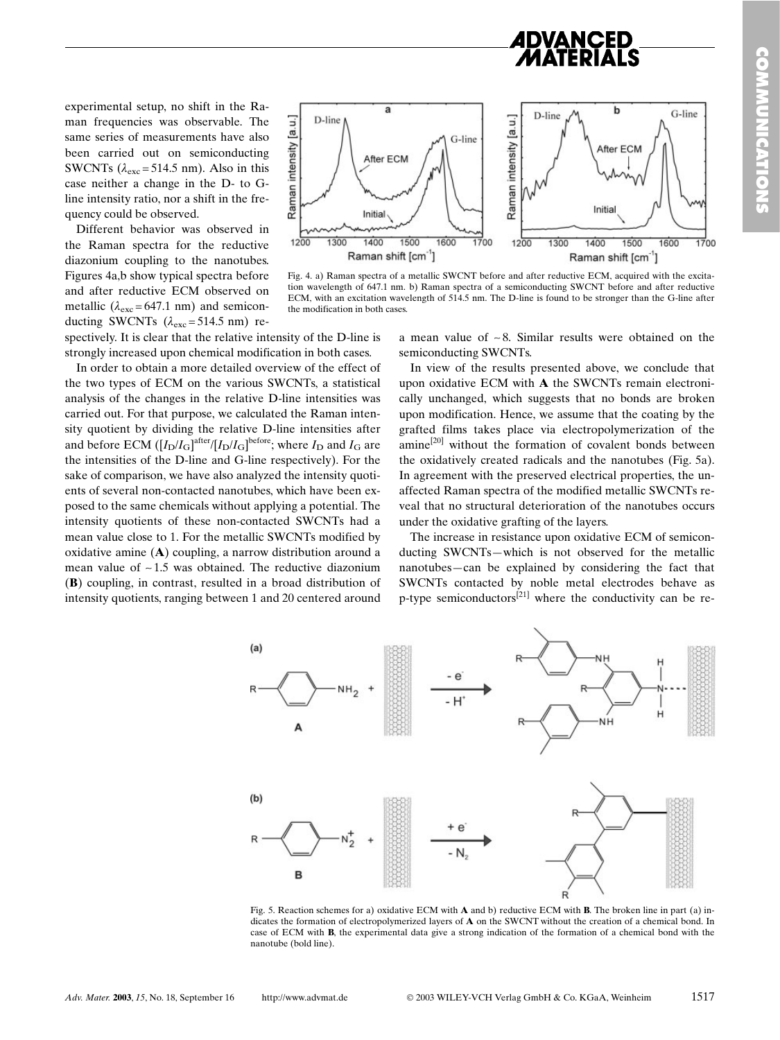experimental setup, no shift in the Raman frequencies was observable. The same series of measurements have also been carried out on semiconducting SWCNTs ( $\lambda_{\rm exc}$  = 514.5 nm). Also in this case neither a change in the D- to Gline intensity ratio, nor a shift in the frequency could be observed.

Different behavior was observed in the Raman spectra for the reductive diazonium coupling to the nanotubes. Figures 4a,b show typical spectra before and after reductive ECM observed on metallic ( $\lambda_{\rm exc}$  = 647.1 nm) and semiconducting SWCNTs  $(\lambda_{\rm exc} = 514.5 \text{ nm})$  re-



Fig. 4. a) Raman spectra of a metallic SWCNT before and after reductive ECM, acquired with the excitation wavelength of 647.1 nm. b) Raman spectra of a semiconducting SWCNT before and after reductive ECM, with an excitation wavelength of 514.5 nm. The D-line is found to be stronger than the G-line after the modification in both cases

spectively. It is clear that the relative intensity of the D-line is strongly increased upon chemical modification in both cases.

In order to obtain a more detailed overview of the effect of the two types of ECM on the various SWCNTs, a statistical analysis of the changes in the relative D-line intensities was carried out. For that purpose, we calculated the Raman intensity quotient by dividing the relative D-line intensities after and before ECM  $([I_D/I_G]^{after}/[I_D/I_G]^{before}$ ; where  $I_D$  and  $I_G$  are the intensities of the D-line and G-line respectively). For the sake of comparison, we have also analyzed the intensity quotients of several non-contacted nanotubes, which have been exposed to the same chemicals without applying a potential. The intensity quotients of these non-contacted SWCNTs had a mean value close to 1. For the metallic SWCNTs modified by oxidative amine  $(A)$  coupling, a narrow distribution around a mean value of  $\sim$  1.5 was obtained. The reductive diazonium (B) coupling, in contrast, resulted in a broad distribution of intensity quotients, ranging between 1 and 20 centered around

a mean value of  $\sim$ 8. Similar results were obtained on the semiconducting SWCNTs.

In view of the results presented above, we conclude that upon oxidative ECM with A the SWCNTs remain electronically unchanged, which suggests that no bonds are broken upon modification. Hence, we assume that the coating by the grafted films takes place via electropolymerization of the amine<sup>[20]</sup> without the formation of covalent bonds between the oxidatively created radicals and the nanotubes (Fig. 5a). In agreement with the preserved electrical properties, the unaffected Raman spectra of the modified metallic SWCNTs reveal that no structural deterioration of the nanotubes occurs under the oxidative grafting of the layers.

The increase in resistance upon oxidative ECM of semiconducting SWCNTs-which is not observed for the metallic nanotubes—can be explained by considering the fact that SWCNTs contacted by noble metal electrodes behave as p-type semiconductors<sup>[21]</sup> where the conductivity can be re-



Fig. 5. Reaction schemes for a) oxidative ECM with **A** and b) reductive ECM with **B**. The broken line in part (a) indicates the formation of electropolymerized layers of A on the SWCNT without the creation of a chemical bond. In case of ECM with **B**, the experimental data give a strong indication of the formation of a chemical bond with the nanotube (bold line).